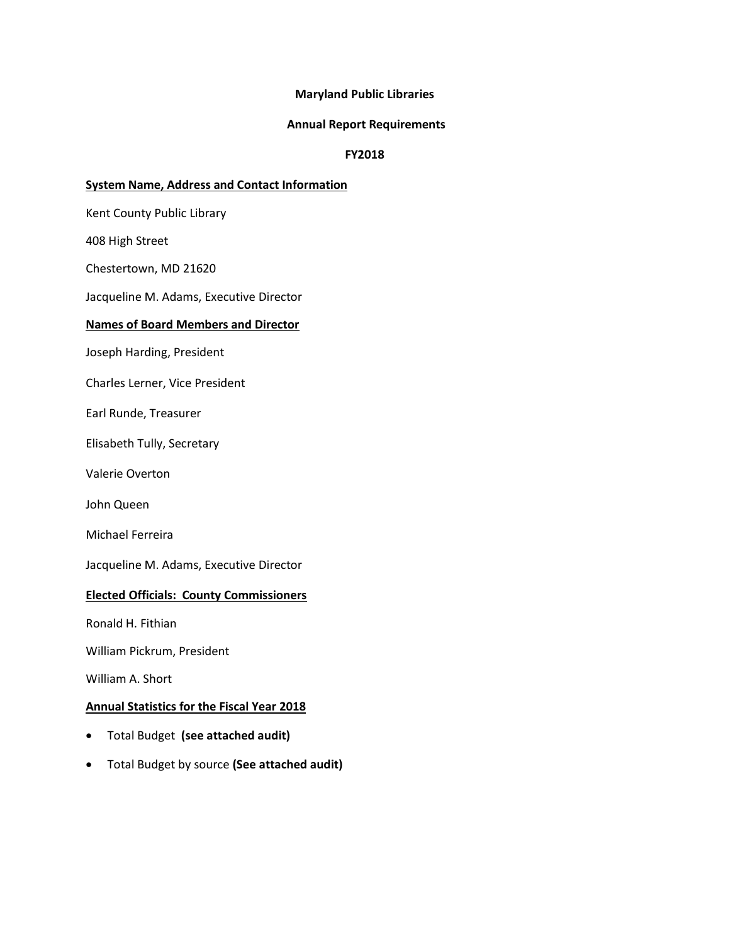### **Maryland Public Libraries**

#### **Annual Report Requirements**

### **FY2018**

#### **System Name, Address and Contact Information**

Kent County Public Library

408 High Street

Chestertown, MD 21620

Jacqueline M. Adams, Executive Director

#### **Names of Board Members and Director**

Joseph Harding, President

Charles Lerner, Vice President

Earl Runde, Treasurer

Elisabeth Tully, Secretary

Valerie Overton

John Queen

Michael Ferreira

Jacqueline M. Adams, Executive Director

#### **Elected Officials: County Commissioners**

Ronald H. Fithian

William Pickrum, President

William A. Short

#### **Annual Statistics for the Fiscal Year 2018**

- Total Budget **(see attached audit)**
- Total Budget by source **(See attached audit)**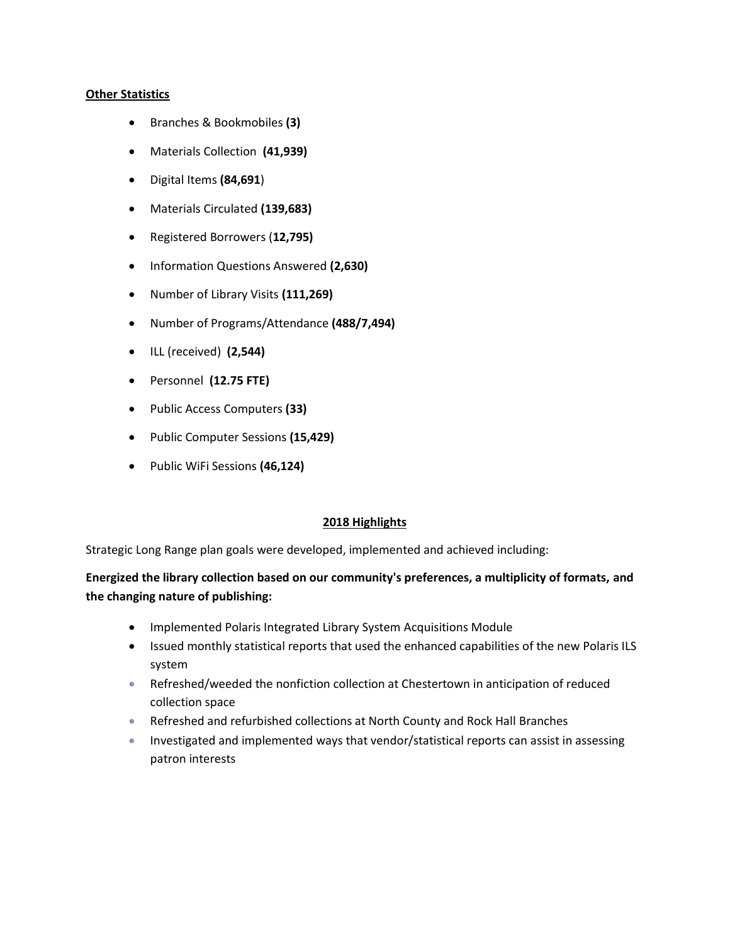### **Other Statistics**

- Branches & Bookmobiles **(3)**
- Materials Collection **(41,939)**
- Digital Items **(84,691**)
- Materials Circulated **(139,683)**
- Registered Borrowers (**12,795)**
- Information Questions Answered **(2,630)**
- Number of Library Visits **(111,269)**
- Number of Programs/Attendance **(488/7,494)**
- ILL (received) **(2,544)**
- Personnel **(12.75 FTE)**
- Public Access Computers **(33)**
- Public Computer Sessions **(15,429)**
- Public WiFi Sessions **(46,124)**

## **2018 Highlights**

Strategic Long Range plan goals were developed, implemented and achieved including:

# **Energized the library collection based on our community's preferences, a multiplicity of formats, and the changing nature of publishing:**

- Implemented Polaris Integrated Library System Acquisitions Module
- Issued monthly statistical reports that used the enhanced capabilities of the new Polaris ILS system
- Refreshed/weeded the nonfiction collection at Chestertown in anticipation of reduced collection space
- Refreshed and refurbished collections at North County and Rock Hall Branches
- Investigated and implemented ways that vendor/statistical reports can assist in assessing patron interests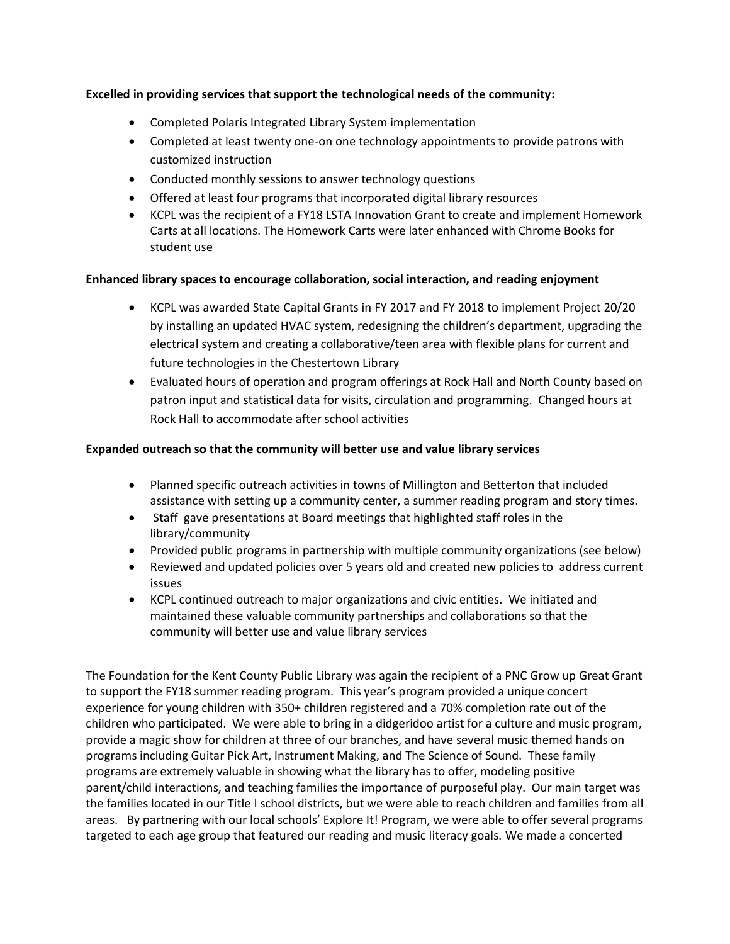# **Excelled in providing services that support the technological needs of the community:**

- Completed Polaris Integrated Library System implementation
- Completed at least twenty one-on one technology appointments to provide patrons with customized instruction
- Conducted monthly sessions to answer technology questions
- Offered at least four programs that incorporated digital library resources
- KCPL was the recipient of a FY18 LSTA Innovation Grant to create and implement Homework Carts at all locations. The Homework Carts were later enhanced with Chrome Books for student use

## **Enhanced library spaces to encourage collaboration, social interaction, and reading enjoyment**

- KCPL was awarded State Capital Grants in FY 2017 and FY 2018 to implement Project 20/20 by installing an updated HVAC system, redesigning the children's department, upgrading the electrical system and creating a collaborative/teen area with flexible plans for current and future technologies in the Chestertown Library
- Evaluated hours of operation and program offerings at Rock Hall and North County based on patron input and statistical data for visits, circulation and programming. Changed hours at Rock Hall to accommodate after school activities

# **Expanded outreach so that the community will better use and value library services**

- Planned specific outreach activities in towns of Millington and Betterton that included assistance with setting up a community center, a summer reading program and story times.
- Staff gave presentations at Board meetings that highlighted staff roles in the library/community
- Provided public programs in partnership with multiple community organizations (see below)
- Reviewed and updated policies over 5 years old and created new policies to address current issues
- KCPL continued outreach to major organizations and civic entities. We initiated and maintained these valuable community partnerships and collaborations so that the community will better use and value library services

The Foundation for the Kent County Public Library was again the recipient of a PNC Grow up Great Grant to support the FY18 summer reading program. This year's program provided a unique concert experience for young children with 350+ children registered and a 70% completion rate out of the children who participated. We were able to bring in a didgeridoo artist for a culture and music program, provide a magic show for children at three of our branches, and have several music themed hands on programs including Guitar Pick Art, Instrument Making, and The Science of Sound. These family programs are extremely valuable in showing what the library has to offer, modeling positive parent/child interactions, and teaching families the importance of purposeful play. Our main target was the families located in our Title I school districts, but we were able to reach children and families from all areas. By partnering with our local schools' Explore It! Program, we were able to offer several programs targeted to each age group that featured our reading and music literacy goals. We made a concerted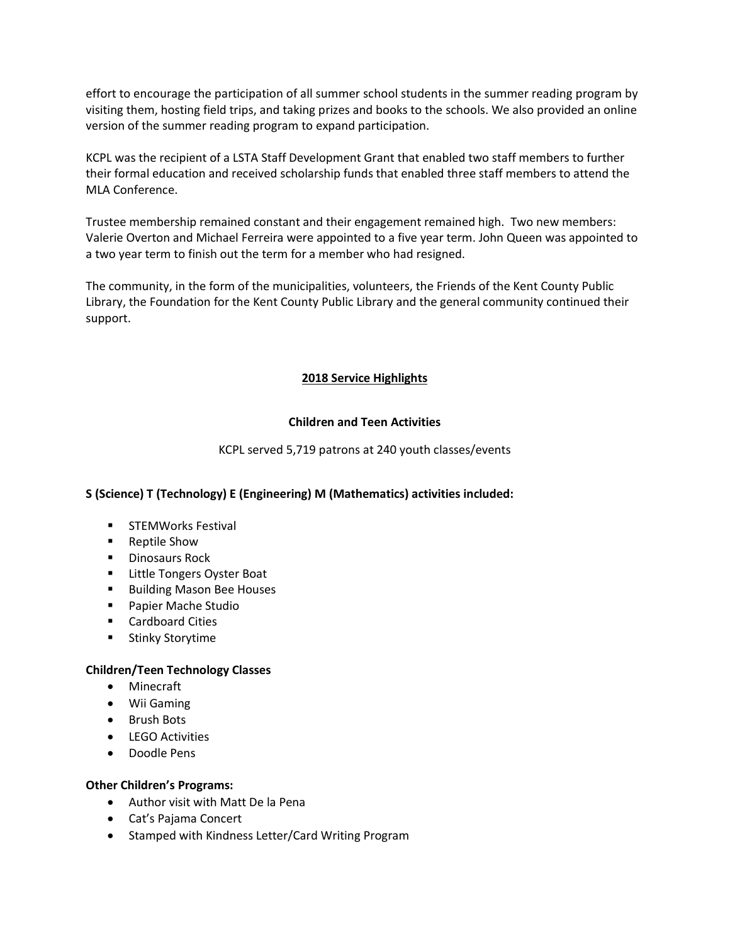effort to encourage the participation of all summer school students in the summer reading program by visiting them, hosting field trips, and taking prizes and books to the schools. We also provided an online version of the summer reading program to expand participation.

KCPL was the recipient of a LSTA Staff Development Grant that enabled two staff members to further their formal education and received scholarship funds that enabled three staff members to attend the MLA Conference.

Trustee membership remained constant and their engagement remained high. Two new members: Valerie Overton and Michael Ferreira were appointed to a five year term. John Queen was appointed to a two year term to finish out the term for a member who had resigned.

The community, in the form of the municipalities, volunteers, the Friends of the Kent County Public Library, the Foundation for the Kent County Public Library and the general community continued their support.

# **2018 Service Highlights**

## **Children and Teen Activities**

KCPL served 5,719 patrons at 240 youth classes/events

# **S (Science) T (Technology) E (Engineering) M (Mathematics) activities included:**

- **STEMWorks Festival**
- Reptile Show
- **Dinosaurs Rock**
- **EXEC** Little Tongers Oyster Boat
- **Building Mason Bee Houses**
- Papier Mache Studio
- **E** Cardboard Cities
- **Stinky Storytime**

## **Children/Teen Technology Classes**

- Minecraft
- Wii Gaming
- Brush Bots
- **•** LEGO Activities
- Doodle Pens

## **Other Children's Programs:**

- Author visit with Matt De la Pena
- Cat's Pajama Concert
- Stamped with Kindness Letter/Card Writing Program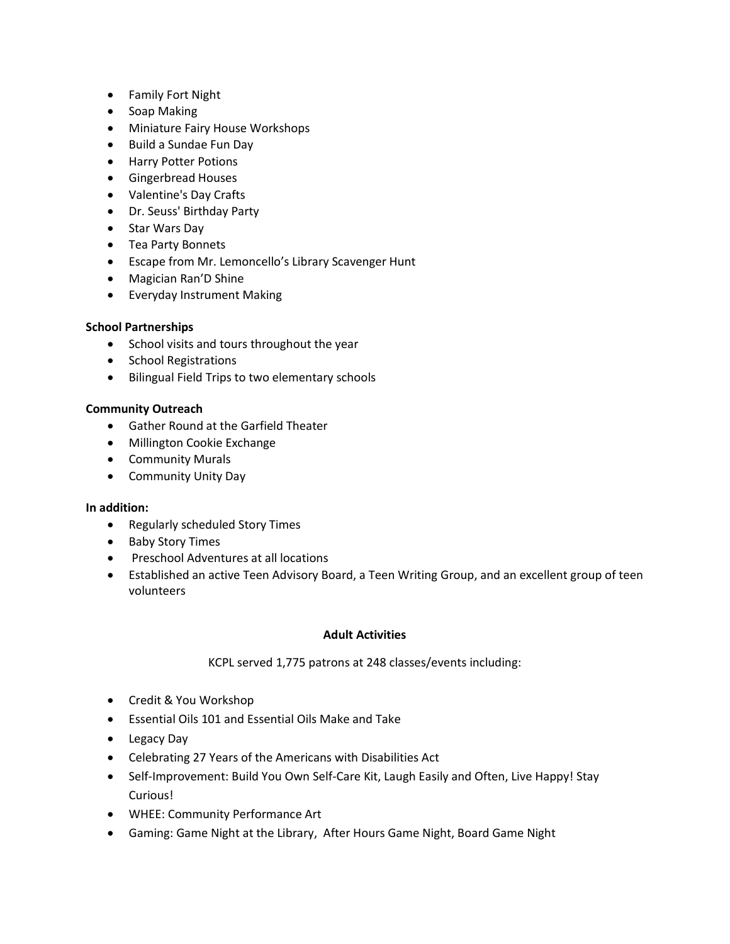- Family Fort Night
- Soap Making
- Miniature Fairy House Workshops
- Build a Sundae Fun Day
- **•** Harry Potter Potions
- **•** Gingerbread Houses
- Valentine's Day Crafts
- Dr. Seuss' Birthday Party
- Star Wars Day
- Tea Party Bonnets
- Escape from Mr. Lemoncello's Library Scavenger Hunt
- Magician Ran'D Shine
- Everyday Instrument Making

## **School Partnerships**

- School visits and tours throughout the year
- School Registrations
- Bilingual Field Trips to two elementary schools

### **Community Outreach**

- Gather Round at the Garfield Theater
- Millington Cookie Exchange
- **•** Community Murals
- Community Unity Day

#### **In addition:**

- Regularly scheduled Story Times
- Baby Story Times
- **•** Preschool Adventures at all locations
- Established an active Teen Advisory Board, a Teen Writing Group, and an excellent group of teen volunteers

#### **Adult Activities**

KCPL served 1,775 patrons at 248 classes/events including:

- Credit & You Workshop
- Essential Oils 101 and Essential Oils Make and Take
- Legacy Day
- Celebrating 27 Years of the Americans with Disabilities Act
- Self-Improvement: Build You Own Self-Care Kit, Laugh Easily and Often, Live Happy! Stay Curious!
- WHEE: Community Performance Art
- Gaming: Game Night at the Library, After Hours Game Night, Board Game Night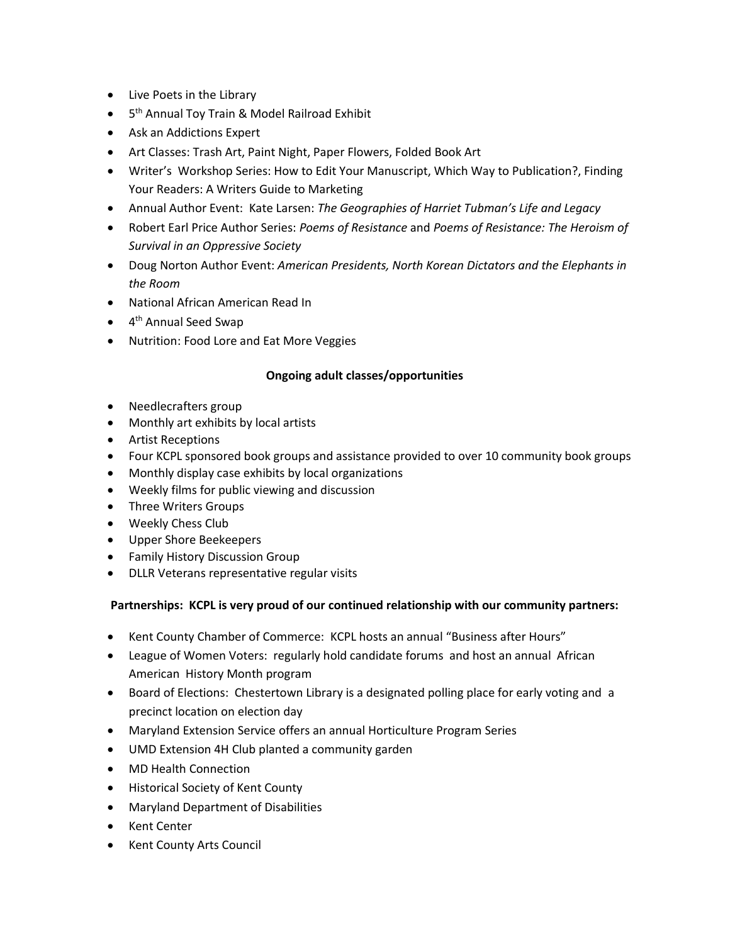- Live Poets in the Library
- **•** 5<sup>th</sup> Annual Toy Train & Model Railroad Exhibit
- Ask an Addictions Expert
- Art Classes: Trash Art, Paint Night, Paper Flowers, Folded Book Art
- Writer's Workshop Series: How to Edit Your Manuscript, Which Way to Publication?, Finding Your Readers: A Writers Guide to Marketing
- Annual Author Event: Kate Larsen: *The Geographies of Harriet Tubman's Life and Legacy*
- Robert Earl Price Author Series: *Poems of Resistance* and *Poems of Resistance: The Heroism of Survival in an Oppressive Society*
- Doug Norton Author Event: *American Presidents, North Korean Dictators and the Elephants in the Room*
- National African American Read In
- 4<sup>th</sup> Annual Seed Swap
- Nutrition: Food Lore and Eat More Veggies

# **Ongoing adult classes/opportunities**

- Needlecrafters group
- Monthly art exhibits by local artists
- Artist Receptions
- Four KCPL sponsored book groups and assistance provided to over 10 community book groups
- Monthly display case exhibits by local organizations
- Weekly films for public viewing and discussion
- Three Writers Groups
- Weekly Chess Club
- Upper Shore Beekeepers
- **•** Family History Discussion Group
- DLLR Veterans representative regular visits

# **Partnerships: KCPL is very proud of our continued relationship with our community partners:**

- Kent County Chamber of Commerce: KCPL hosts an annual "Business after Hours"
- League of Women Voters: regularly hold candidate forums and host an annual African American History Month program
- Board of Elections: Chestertown Library is a designated polling place for early voting and a precinct location on election day
- Maryland Extension Service offers an annual Horticulture Program Series
- UMD Extension 4H Club planted a community garden
- MD Health Connection
- Historical Society of Kent County
- Maryland Department of Disabilities
- Kent Center
- Kent County Arts Council